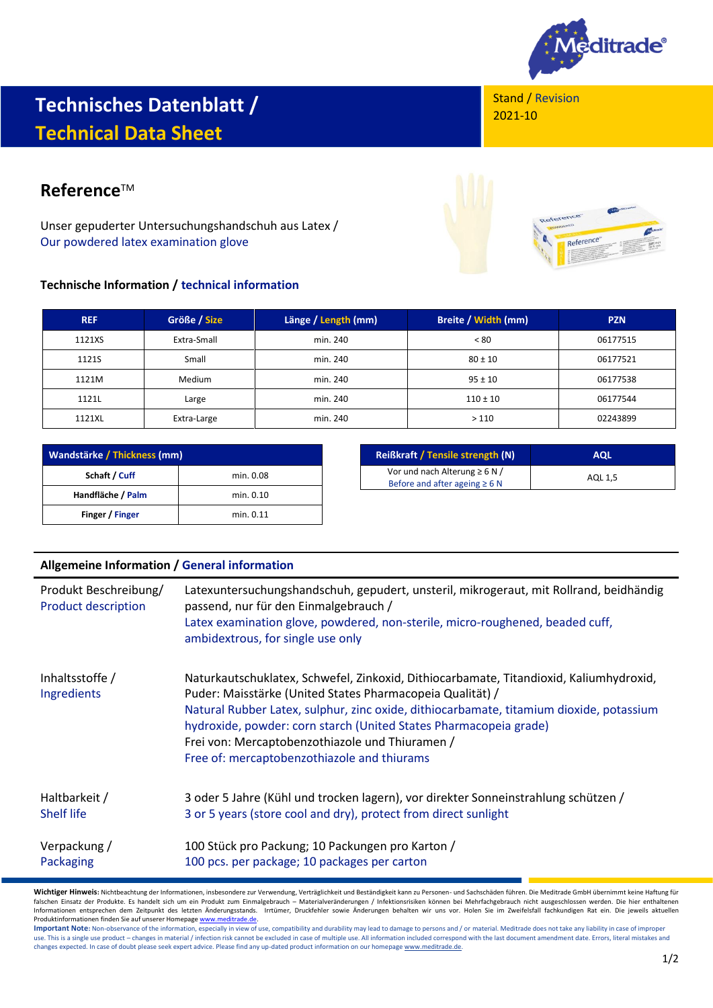

## **Technisches Datenblatt / Technical Data Sheet**

## **Reference™**

Unser gepuderter Untersuchungshandschuh aus Latex / Our powdered latex examination glove

## **Technische Information / technical information**

| <b>REF</b> | Größe / Size  | Länge / Length (mm) | Breite / Width (mm) | <b>PZN</b> |
|------------|---------------|---------------------|---------------------|------------|
| 1121XS     | Extra-Small   | min. 240            | < 80                | 06177515   |
| 1121S      | Small         | min. 240            | $80 \pm 10$         | 06177521   |
| 1121M      | <b>Medium</b> | min. 240            | $95 \pm 10$         | 06177538   |
| 1121L      | Large         | min. 240            | $110 \pm 10$        | 06177544   |
| 1121XL     | Extra-Large   | min. 240            | >110                | 02243899   |

| Wandstärke / Thickness (mm) |           |  |
|-----------------------------|-----------|--|
| Schaft / Cuff               | min. 0.08 |  |
| Handfläche / Palm           | min. 0.10 |  |
| Finger / Finger             | min. 0.11 |  |

| <b>Reißkraft / Tensile strength (N)</b> | <b>AQL</b> |  |
|-----------------------------------------|------------|--|
| Vor und nach Alterung $\geq 6$ N /      | AQL 1.5    |  |
| Before and after ageing $\geq 6$ N      |            |  |

| <b>Allgemeine Information / General information</b> |                                                                                                                                                                                                                                                                                                                                                                                                                       |  |
|-----------------------------------------------------|-----------------------------------------------------------------------------------------------------------------------------------------------------------------------------------------------------------------------------------------------------------------------------------------------------------------------------------------------------------------------------------------------------------------------|--|
| Produkt Beschreibung/<br><b>Product description</b> | Latexuntersuchungshandschuh, gepudert, unsteril, mikrogeraut, mit Rollrand, beidhändig<br>passend, nur für den Einmalgebrauch /<br>Latex examination glove, powdered, non-sterile, micro-roughened, beaded cuff,<br>ambidextrous, for single use only                                                                                                                                                                 |  |
| Inhaltsstoffe /<br>Ingredients                      | Naturkautschuklatex, Schwefel, Zinkoxid, Dithiocarbamate, Titandioxid, Kaliumhydroxid,<br>Puder: Maisstärke (United States Pharmacopeia Qualität) /<br>Natural Rubber Latex, sulphur, zinc oxide, dithiocarbamate, titamium dioxide, potassium<br>hydroxide, powder: corn starch (United States Pharmacopeia grade)<br>Frei von: Mercaptobenzothiazole und Thiuramen /<br>Free of: mercaptobenzothiazole and thiurams |  |
| Haltbarkeit /<br><b>Shelf life</b>                  | 3 oder 5 Jahre (Kühl und trocken lagern), vor direkter Sonneinstrahlung schützen /<br>3 or 5 years (store cool and dry), protect from direct sunlight                                                                                                                                                                                                                                                                 |  |
| Verpackung /<br>Packaging                           | 100 Stück pro Packung; 10 Packungen pro Karton /<br>100 pcs. per package; 10 packages per carton                                                                                                                                                                                                                                                                                                                      |  |

**Wichtiger Hinweis:** Nichtbeachtung der Informationen, insbesondere zur Verwendung, Verträglichkeit und Beständigkeit kann zu Personen- und Sachschäden führen. Die Meditrade GmbH übernimmt keine Haftung für falschen Einsatz der Produkte. Es handelt sich um ein Produkt zum Einmalgebrauch – Materialveränderungen / Infektionsrisiken können bei Mehrfachgebrauch nicht ausgeschlossen werden. Die hier enthaltenen Informationen entsprechen dem Zeitpunkt des letzten Änderungsstands. Irrtümer, Druckfehler sowie Änderungen behalten wir uns vor. Holen Sie im Zweifelsfall fachkundigen Rat ein. Die jeweils aktuellen Produktinformationen finden Sie auf unserer Homepage <u>www.meditrade.de</u>.<br>**Important Note:** Non-observance of the information, especially in view of use, compatibility and durability may lead to damage to persons and / or m

use. This is a single use product – changes in material / infection risk cannot be excluded in case of multiple use. All information included correspond with the last document amendment date. Errors, literal mistakes and changes expected. In case of doubt please seek expert advice. Please find any up-dated product information on our homepag[e www.meditrade.de.](http://www.meditrade.de/)

Reference

Reference

Stand / Revision

2021-10

1/2